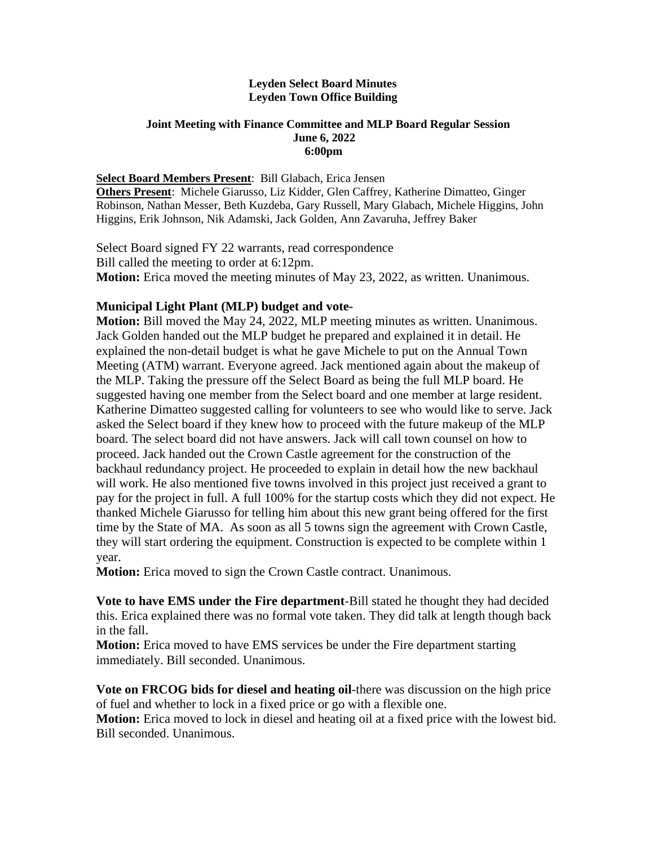## **Leyden Select Board Minutes Leyden Town Office Building**

## **Joint Meeting with Finance Committee and MLP Board Regular Session June 6, 2022 6:00pm**

## **Select Board Members Present**: Bill Glabach, Erica Jensen

**Others Present**: Michele Giarusso, Liz Kidder, Glen Caffrey, Katherine Dimatteo, Ginger Robinson, Nathan Messer, Beth Kuzdeba, Gary Russell, Mary Glabach, Michele Higgins, John Higgins, Erik Johnson, Nik Adamski, Jack Golden, Ann Zavaruha, Jeffrey Baker

Select Board signed FY 22 warrants, read correspondence Bill called the meeting to order at 6:12pm. **Motion:** Erica moved the meeting minutes of May 23, 2022, as written. Unanimous.

## **Municipal Light Plant (MLP) budget and vote-**

**Motion:** Bill moved the May 24, 2022, MLP meeting minutes as written. Unanimous. Jack Golden handed out the MLP budget he prepared and explained it in detail. He explained the non-detail budget is what he gave Michele to put on the Annual Town Meeting (ATM) warrant. Everyone agreed. Jack mentioned again about the makeup of the MLP. Taking the pressure off the Select Board as being the full MLP board. He suggested having one member from the Select board and one member at large resident. Katherine Dimatteo suggested calling for volunteers to see who would like to serve. Jack asked the Select board if they knew how to proceed with the future makeup of the MLP board. The select board did not have answers. Jack will call town counsel on how to proceed. Jack handed out the Crown Castle agreement for the construction of the backhaul redundancy project. He proceeded to explain in detail how the new backhaul will work. He also mentioned five towns involved in this project just received a grant to pay for the project in full. A full 100% for the startup costs which they did not expect. He thanked Michele Giarusso for telling him about this new grant being offered for the first time by the State of MA. As soon as all 5 towns sign the agreement with Crown Castle, they will start ordering the equipment. Construction is expected to be complete within 1 year.

**Motion:** Erica moved to sign the Crown Castle contract. Unanimous.

**Vote to have EMS under the Fire department**-Bill stated he thought they had decided this. Erica explained there was no formal vote taken. They did talk at length though back in the fall.

**Motion:** Erica moved to have EMS services be under the Fire department starting immediately. Bill seconded. Unanimous.

**Vote on FRCOG bids for diesel and heating oil**-there was discussion on the high price of fuel and whether to lock in a fixed price or go with a flexible one.

**Motion:** Erica moved to lock in diesel and heating oil at a fixed price with the lowest bid. Bill seconded. Unanimous.